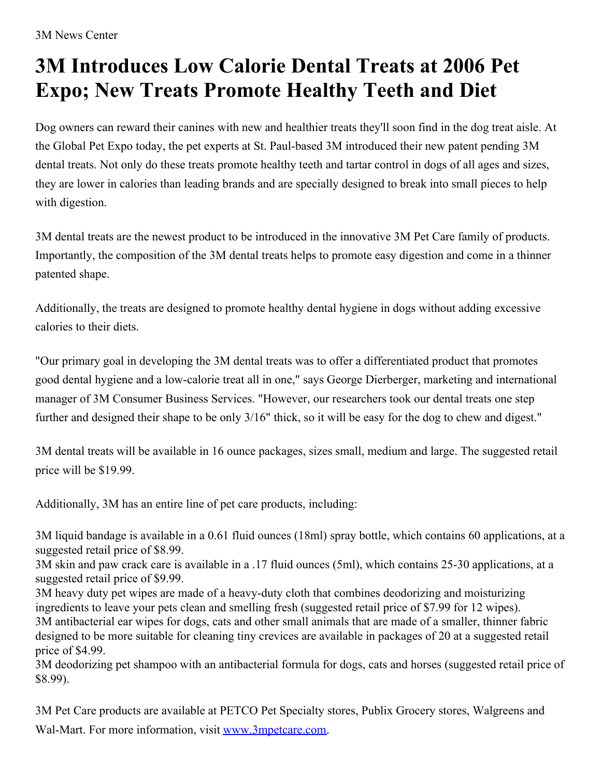3M News Center

## **3M Introduces Low Calorie Dental Treats at 2006 Pet Expo; New Treats Promote Healthy Teeth and Diet**

Dog owners can reward their canines with new and healthier treats they'll soon find in the dog treat aisle. At the Global Pet Expo today, the pet experts at St. Paul-based 3M introduced their new patent pending 3M dental treats. Not only do these treats promote healthy teeth and tartar control in dogs of all ages and sizes, they are lower in calories than leading brands and are specially designed to break into small pieces to help with digestion.

3M dental treats are the newest product to be introduced in the innovative 3M Pet Care family of products. Importantly, the composition of the 3M dental treats helps to promote easy digestion and come in a thinner patented shape.

Additionally, the treats are designed to promote healthy dental hygiene in dogs without adding excessive calories to their diets.

"Our primary goal in developing the 3M dental treats was to offer a differentiated product that promotes good dental hygiene and a low-calorie treat all in one," says George Dierberger, marketing and international manager of 3M Consumer Business Services. "However, our researchers took our dental treats one step further and designed their shape to be only 3/16" thick, so it will be easy for the dog to chew and digest."

3M dental treats will be available in 16 ounce packages, sizes small, medium and large. The suggested retail price will be \$19.99.

Additionally, 3M has an entire line of pet care products, including:

3M liquid bandage is available in a 0.61 fluid ounces (18ml) spray bottle, which contains 60 applications, at a suggested retail price of \$8.99.

3M skin and paw crack care is available in a .17 fluid ounces (5ml), which contains 25-30 applications, at a suggested retail price of \$9.99.

3M heavy duty pet wipes are made of a heavy-duty cloth that combines deodorizing and moisturizing ingredients to leave your pets clean and smelling fresh (suggested retail price of \$7.99 for 12 wipes). 3M antibacterial ear wipes for dogs, cats and other small animals that are made of a smaller, thinner fabric designed to be more suitable for cleaning tiny crevices are available in packages of 20 at a suggested retail price of \$4.99.

3M deodorizing pet shampoo with an antibacterial formula for dogs, cats and horses (suggested retail price of \$8.99).

3M Pet Care products are available at PETCO Pet Specialty stores, Publix Grocery stores, Walgreens and Wal-Mart. For more information, visit [www.3mpetcare.com](http://www.3mpetcare.com/).